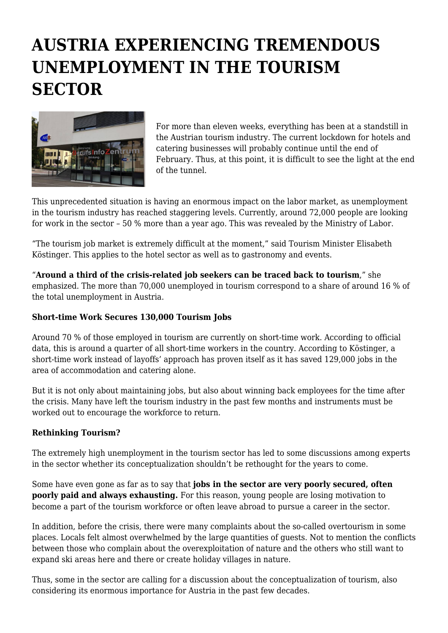## **AUSTRIA EXPERIENCING TREMENDOUS UNEMPLOYMENT IN THE TOURISM SECTOR**



For more than eleven weeks, everything has been at a standstill in the Austrian tourism industry. The current lockdown for hotels and catering businesses will probably continue until the end of February. Thus, at this point, it is difficult to see the light at the end of the tunnel.

This unprecedented situation is having an enormous impact on the labor market, as unemployment in the tourism industry has reached staggering levels. Currently, around 72,000 people are looking for work in the sector – 50 % more than a year ago. This was revealed by the Ministry of Labor.

"The tourism job market is extremely difficult at the moment," said Tourism Minister Elisabeth Köstinger. This applies to the hotel sector as well as to gastronomy and events.

"**Around a third of the crisis-related job seekers can be traced back to tourism**," she emphasized. The more than 70,000 unemployed in tourism correspond to a share of around 16 % of the total unemployment in Austria.

## **Short-time Work Secures 130,000 Tourism Jobs**

Around 70 % of those employed in tourism are currently on short-time work. According to official data, this is around a quarter of all short-time workers in the country. According to Köstinger, a short-time work instead of layoffs' approach has proven itself as it has saved 129,000 jobs in the area of accommodation and catering alone.

But it is not only about maintaining jobs, but also about winning back employees for the time after the crisis. Many have left the tourism industry in the past few months and instruments must be worked out to encourage the workforce to return.

## **Rethinking Tourism?**

The extremely high unemployment in the tourism sector has led to some discussions among experts in the sector whether its conceptualization shouldn't be rethought for the years to come.

Some have even gone as far as to say that **jobs in the sector are very poorly secured, often poorly paid and always exhausting.** For this reason, young people are losing motivation to become a part of the tourism workforce or often leave abroad to pursue a career in the sector.

In addition, before the crisis, there were many complaints about the so-called overtourism in some places. Locals felt almost overwhelmed by the large quantities of guests. Not to mention the conflicts between those who complain about the overexploitation of nature and the others who still want to expand ski areas here and there or create holiday villages in nature.

Thus, some in the sector are calling for a discussion about the conceptualization of tourism, also considering its enormous importance for Austria in the past few decades.